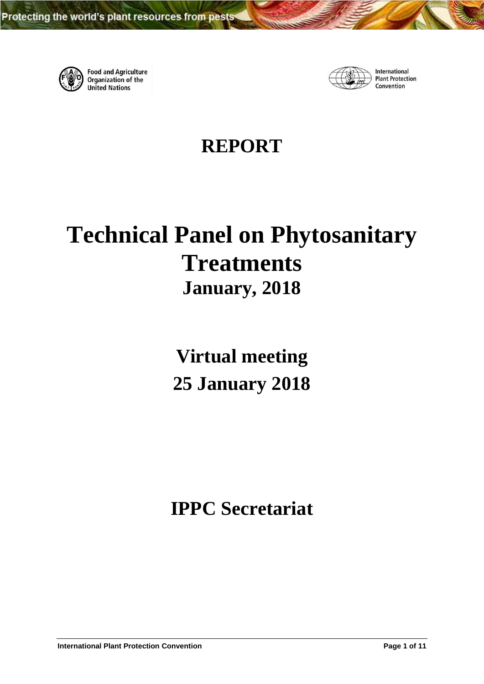

**Food and Agriculture**<br>Organization of the **United Nations** 



International **Plant Protection** Convention

# **REPORT**

# **Technical Panel on Phytosanitary Treatments January, 2018**

**Virtual meeting 25 January 2018**

**IPPC Secretariat**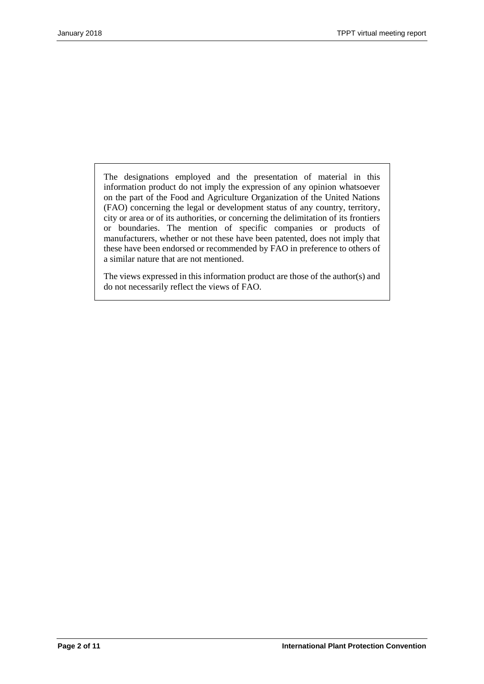The designations employed and the presentation of material in this information product do not imply the expression of any opinion whatsoever on the part of the Food and Agriculture Organization of the United Nations (FAO) concerning the legal or development status of any country, territory, city or area or of its authorities, or concerning the delimitation of its frontiers or boundaries. The mention of specific companies or products of manufacturers, whether or not these have been patented, does not imply that these have been endorsed or recommended by FAO in preference to others of a similar nature that are not mentioned.

The views expressed in this information product are those of the author(s) and do not necessarily reflect the views of FAO.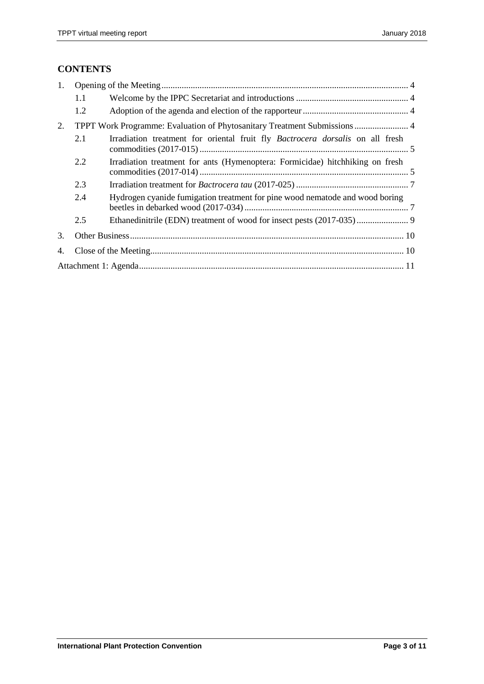# **CONTENTS**

| 1. |                                                                           |                                                                                      |  |  |  |  |
|----|---------------------------------------------------------------------------|--------------------------------------------------------------------------------------|--|--|--|--|
|    | 1.1                                                                       |                                                                                      |  |  |  |  |
|    | 1.2                                                                       |                                                                                      |  |  |  |  |
| 2. | TPPT Work Programme: Evaluation of Phytosanitary Treatment Submissions  4 |                                                                                      |  |  |  |  |
|    | 2.1                                                                       | Irradiation treatment for oriental fruit fly <i>Bactrocera dorsalis</i> on all fresh |  |  |  |  |
|    | 2.2                                                                       | Irradiation treatment for ants (Hymenoptera: Formicidae) hitchhiking on fresh        |  |  |  |  |
|    | 2.3                                                                       |                                                                                      |  |  |  |  |
|    | 2.4                                                                       | Hydrogen cyanide fumigation treatment for pine wood nematode and wood boring         |  |  |  |  |
|    | 2.5                                                                       |                                                                                      |  |  |  |  |
| 3. |                                                                           |                                                                                      |  |  |  |  |
| 4. |                                                                           |                                                                                      |  |  |  |  |
|    |                                                                           |                                                                                      |  |  |  |  |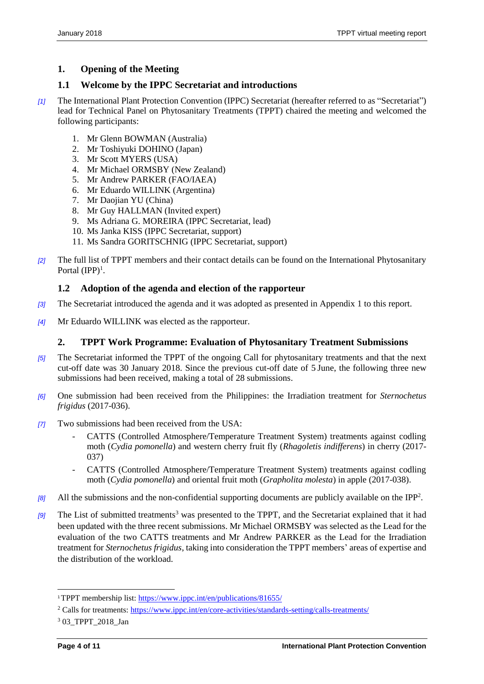# <span id="page-3-0"></span>**1. Opening of the Meeting**

## <span id="page-3-1"></span>**1.1 Welcome by the IPPC Secretariat and introductions**

- *[1]* The International Plant Protection Convention (IPPC) Secretariat (hereafter referred to as "Secretariat") lead for Technical Panel on Phytosanitary Treatments (TPPT) chaired the meeting and welcomed the following participants:
	- 1. Mr Glenn BOWMAN (Australia)
	- 2. Mr Toshiyuki DOHINO (Japan)
	- 3. Mr Scott MYERS (USA)
	- 4. Mr Michael ORMSBY (New Zealand)
	- 5. Mr Andrew PARKER (FAO/IAEA)
	- 6. Mr Eduardo WILLINK (Argentina)
	- 7. Mr Daojian YU (China)
	- 8. Mr Guy HALLMAN (Invited expert)
	- 9. Ms Adriana G. MOREIRA (IPPC Secretariat, lead)
	- 10. Ms Janka KISS (IPPC Secretariat, support)
	- 11. Ms Sandra GORITSCHNIG (IPPC Secretariat, support)
- *[2]* The full list of TPPT members and their contact details can be found on the International Phytosanitary Portal  $(IPP)^1$ .

# <span id="page-3-2"></span>**1.2 Adoption of the agenda and election of the rapporteur**

- *[3]* The Secretariat introduced the agenda and it was adopted as presented in Appendix 1 to this report.
- *[4]* Mr Eduardo WILLINK was elected as the rapporteur.

# <span id="page-3-3"></span>**2. TPPT Work Programme: Evaluation of Phytosanitary Treatment Submissions**

- *[5]* The Secretariat informed the TPPT of the ongoing Call for phytosanitary treatments and that the next cut-off date was 30 January 2018. Since the previous cut-off date of 5 June, the following three new submissions had been received, making a total of 28 submissions.
- *[6]* One submission had been received from the Philippines: the Irradiation treatment for *Sternochetus frigidus* (2017-036).
- *[7]* Two submissions had been received from the USA:
	- CATTS (Controlled Atmosphere/Temperature Treatment System) treatments against codling moth (*Cydia pomonella*) and western cherry fruit fly (*Rhagoletis indifferens*) in cherry (2017- 037)
	- CATTS (Controlled Atmosphere/Temperature Treatment System) treatments against codling moth (*Cydia pomonella*) and oriental fruit moth (*Grapholita molesta*) in apple (2017-038).
- [8] All the submissions and the non-confidential supporting documents are publicly available on the IPP<sup>2</sup>.
- *[9]* The List of submitted treatments<sup>3</sup> was presented to the TPPT, and the Secretariat explained that it had been updated with the three recent submissions. Mr Michael ORMSBY was selected as the Lead for the evaluation of the two CATTS treatments and Mr Andrew PARKER as the Lead for the Irradiation treatment for *Sternochetus frigidus*, taking into consideration the TPPT members' areas of expertise and the distribution of the workload.

l

<sup>1</sup>TPPT membership list:<https://www.ippc.int/en/publications/81655/>

<sup>&</sup>lt;sup>2</sup> Calls for treatments:<https://www.ippc.int/en/core-activities/standards-setting/calls-treatments/>

<sup>3</sup> 03\_TPPT\_2018\_Jan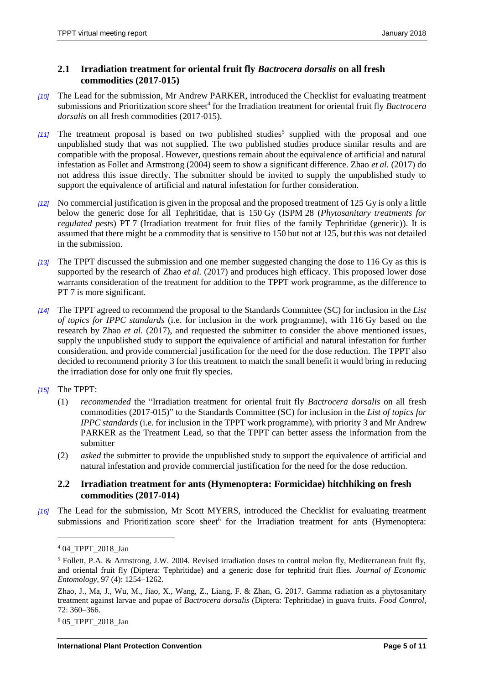#### <span id="page-4-0"></span>**2.1 Irradiation treatment for oriental fruit fly** *Bactrocera dorsalis* **on all fresh commodities (2017-015)**

- *[10]* The Lead for the submission, Mr Andrew PARKER, introduced the Checklist for evaluating treatment submissions and Prioritization score sheet<sup>4</sup> for the Irradiation treatment for oriental fruit fly *Bactrocera dorsalis* on all fresh commodities (2017-015).
- [11] The treatment proposal is based on two published studies<sup>5</sup> supplied with the proposal and one unpublished study that was not supplied. The two published studies produce similar results and are compatible with the proposal. However, questions remain about the equivalence of artificial and natural infestation as Follet and Armstrong (2004) seem to show a significant difference. Zhao *et al.* (2017) do not address this issue directly. The submitter should be invited to supply the unpublished study to support the equivalence of artificial and natural infestation for further consideration.
- *[12]* No commercial justification is given in the proposal and the proposed treatment of 125 Gy is only a little below the generic dose for all Tephritidae, that is 150 Gy (ISPM 28 (*Phytosanitary treatments for regulated pests*) PT 7 (Irradiation treatment for fruit flies of the family Tephritidae (generic)). It is assumed that there might be a commodity that is sensitive to 150 but not at 125, but this was not detailed in the submission.
- *[13]* The TPPT discussed the submission and one member suggested changing the dose to 116 Gy as this is supported by the research of Zhao *et al.* (2017) and produces high efficacy. This proposed lower dose warrants consideration of the treatment for addition to the TPPT work programme, as the difference to PT 7 is more significant.
- *[14]* The TPPT agreed to recommend the proposal to the Standards Committee (SC) for inclusion in the *List of topics for IPPC standards* (i.e. for inclusion in the work programme), with 116 Gy based on the research by Zhao *et al.* (2017), and requested the submitter to consider the above mentioned issues, supply the unpublished study to support the equivalence of artificial and natural infestation for further consideration, and provide commercial justification for the need for the dose reduction. The TPPT also decided to recommend priority 3 for this treatment to match the small benefit it would bring in reducing the irradiation dose for only one fruit fly species.
- *[15]* The TPPT:
	- (1) *recommended* the "Irradiation treatment for oriental fruit fly *Bactrocera dorsalis* on all fresh commodities (2017-015)" to the Standards Committee (SC) for inclusion in the *List of topics for IPPC standards* (i.e. for inclusion in the TPPT work programme), with priority 3 and Mr Andrew PARKER as the Treatment Lead, so that the TPPT can better assess the information from the submitter
	- (2) *asked* the submitter to provide the unpublished study to support the equivalence of artificial and natural infestation and provide commercial justification for the need for the dose reduction.

#### <span id="page-4-1"></span>**2.2 Irradiation treatment for ants (Hymenoptera: Formicidae) hitchhiking on fresh commodities (2017-014)**

*[16]* The Lead for the submission, Mr Scott MYERS, introduced the Checklist for evaluating treatment submissions and Prioritization score sheet<sup>6</sup> for the Irradiation treatment for ants (Hymenoptera:

l

<sup>6</sup> 05\_TPPT\_2018\_Jan

<sup>&</sup>lt;sup>4</sup> 04 TPPT 2018 Jan

<sup>5</sup> Follett, P.A. & Armstrong, J.W. 2004. Revised irradiation doses to control melon fly, Mediterranean fruit fly, and oriental fruit fly (Diptera: Tephritidae) and a generic dose for tephritid fruit flies. *Journal of Economic Entomology*, 97 (4): 1254–1262.

Zhao, J., Ma, J., Wu, M., Jiao, X., Wang, Z., Liang, F. & Zhan, G. 2017. Gamma radiation as a phytosanitary treatment against larvae and pupae of *Bactrocera dorsalis* (Diptera: Tephritidae) in guava fruits. *Food Control*, 72: 360–366.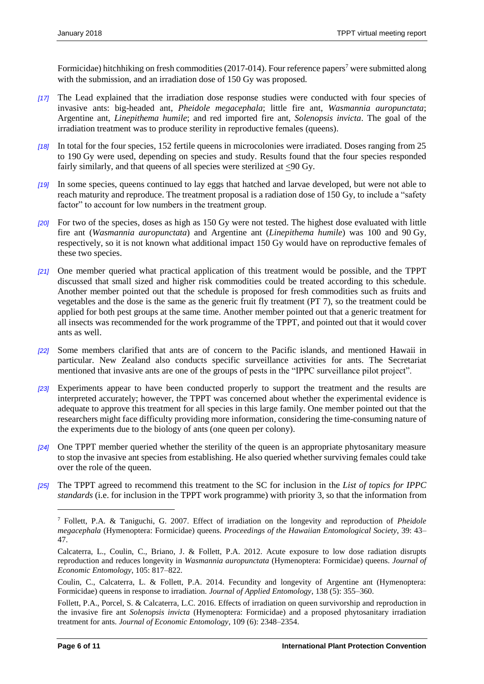Formicidae) hitchhiking on fresh commodities (2017-014). Four reference papers<sup>7</sup> were submitted along with the submission, and an irradiation dose of 150 Gy was proposed.

- *[17]* The Lead explained that the irradiation dose response studies were conducted with four species of invasive ants: big-headed ant, *Pheidole megacephala*; little fire ant, *Wasmannia auropunctata*; Argentine ant, *Linepithema humile*; and red imported fire ant, *Solenopsis invicta*. The goal of the irradiation treatment was to produce sterility in reproductive females (queens).
- *[18]* In total for the four species, 152 fertile queens in microcolonies were irradiated. Doses ranging from 25 to 190 Gy were used, depending on species and study. Results found that the four species responded fairly similarly, and that queens of all species were sterilized at <90 Gy.
- *[19]* In some species, queens continued to lay eggs that hatched and larvae developed, but were not able to reach maturity and reproduce. The treatment proposal is a radiation dose of 150 Gy, to include a "safety factor" to account for low numbers in the treatment group.
- *[20]* For two of the species, doses as high as 150 Gy were not tested. The highest dose evaluated with little fire ant (*Wasmannia auropunctata*) and Argentine ant (*Linepithema humile*) was 100 and 90 Gy, respectively, so it is not known what additional impact 150 Gy would have on reproductive females of these two species.
- *[21]* One member queried what practical application of this treatment would be possible, and the TPPT discussed that small sized and higher risk commodities could be treated according to this schedule. Another member pointed out that the schedule is proposed for fresh commodities such as fruits and vegetables and the dose is the same as the generic fruit fly treatment (PT 7), so the treatment could be applied for both pest groups at the same time. Another member pointed out that a generic treatment for all insects was recommended for the work programme of the TPPT, and pointed out that it would cover ants as well.
- *[22]* Some members clarified that ants are of concern to the Pacific islands, and mentioned Hawaii in particular. New Zealand also conducts specific surveillance activities for ants. The Secretariat mentioned that invasive ants are one of the groups of pests in the "IPPC surveillance pilot project".
- *[23]* Experiments appear to have been conducted properly to support the treatment and the results are interpreted accurately; however, the TPPT was concerned about whether the experimental evidence is adequate to approve this treatment for all species in this large family. One member pointed out that the researchers might face difficulty providing more information, considering the time-consuming nature of the experiments due to the biology of ants (one queen per colony).
- *[24]* One TPPT member queried whether the sterility of the queen is an appropriate phytosanitary measure to stop the invasive ant species from establishing. He also queried whether surviving females could take over the role of the queen.
- *[25]* The TPPT agreed to recommend this treatment to the SC for inclusion in the *List of topics for IPPC standards* (i.e. for inclusion in the TPPT work programme) with priority 3, so that the information from

 $\overline{a}$ 

<sup>7</sup> Follett, P.A. & Taniguchi, G. 2007. Effect of irradiation on the longevity and reproduction of *Pheidole megacephala* (Hymenoptera: Formicidae) queens. *Proceedings of the Hawaiian Entomological Society*, 39: 43– 47.

Calcaterra, L., Coulin, C., Briano, J. & Follett, P.A. 2012. Acute exposure to low dose radiation disrupts reproduction and reduces longevity in *Wasmannia auropunctata* (Hymenoptera: Formicidae) queens. *Journal of Economic Entomology*, 105: 817–822.

Coulin, C., Calcaterra, L. & Follett, P.A. 2014. Fecundity and longevity of Argentine ant (Hymenoptera: Formicidae) queens in response to irradiation. *Journal of Applied Entomology*, 138 (5): 355–360.

Follett, P.A., Porcel, S. & Calcaterra, L.C. 2016. Effects of irradiation on queen survivorship and reproduction in the invasive fire ant *Solenopsis invicta* (Hymenoptera: Formicidae) and a proposed phytosanitary irradiation treatment for ants. *Journal of Economic Entomology*, 109 (6): 2348–2354.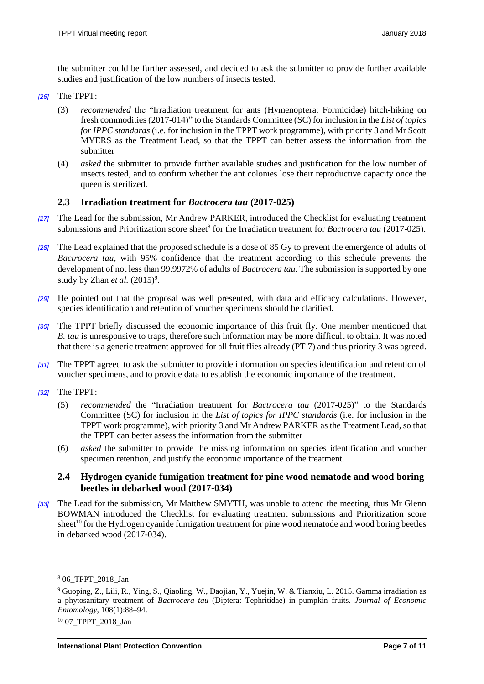the submitter could be further assessed, and decided to ask the submitter to provide further available studies and justification of the low numbers of insects tested.

- *[26]* The TPPT:
	- (3) *recommended* the "Irradiation treatment for ants (Hymenoptera: Formicidae) hitch-hiking on fresh commodities (2017-014)" to the Standards Committee (SC) for inclusion in the *List of topics for IPPC standards* (i.e. for inclusion in the TPPT work programme), with priority 3 and Mr Scott MYERS as the Treatment Lead, so that the TPPT can better assess the information from the submitter
	- (4) *asked* the submitter to provide further available studies and justification for the low number of insects tested, and to confirm whether the ant colonies lose their reproductive capacity once the queen is sterilized.

#### <span id="page-6-0"></span>**2.3 Irradiation treatment for** *Bactrocera tau* **(2017-025)**

- *[27]* The Lead for the submission, Mr Andrew PARKER, introduced the Checklist for evaluating treatment submissions and Prioritization score sheet<sup>8</sup> for the Irradiation treatment for *Bactrocera tau* (2017-025).
- *[28]* The Lead explained that the proposed schedule is a dose of 85 Gy to prevent the emergence of adults of *Bactrocera tau*, with 95% confidence that the treatment according to this schedule prevents the development of not less than 99.9972% of adults of *Bactrocera tau*. The submission is supported by one study by Zhan *et al.* (2015)<sup>9</sup>.
- *[29]* He pointed out that the proposal was well presented, with data and efficacy calculations. However, species identification and retention of voucher specimens should be clarified.
- *[30]* The TPPT briefly discussed the economic importance of this fruit fly. One member mentioned that *B. tau* is unresponsive to traps, therefore such information may be more difficult to obtain. It was noted that there is a generic treatment approved for all fruit flies already (PT 7) and thus priority 3 was agreed.
- *[31]* The TPPT agreed to ask the submitter to provide information on species identification and retention of voucher specimens, and to provide data to establish the economic importance of the treatment.
- *[32]* The TPPT:
	- (5) *recommended* the "Irradiation treatment for *Bactrocera tau* (2017-025)" to the Standards Committee (SC) for inclusion in the *List of topics for IPPC standards* (i.e. for inclusion in the TPPT work programme), with priority 3 and Mr Andrew PARKER as the Treatment Lead, so that the TPPT can better assess the information from the submitter
	- (6) *asked* the submitter to provide the missing information on species identification and voucher specimen retention, and justify the economic importance of the treatment.

#### <span id="page-6-1"></span>**2.4 Hydrogen cyanide fumigation treatment for pine wood nematode and wood boring beetles in debarked wood (2017-034)**

*[33]* The Lead for the submission, Mr Matthew SMYTH, was unable to attend the meeting, thus Mr Glenn BOWMAN introduced the Checklist for evaluating treatment submissions and Prioritization score sheet<sup>10</sup> for the Hydrogen cyanide fumigation treatment for pine wood nematode and wood boring beetles in debarked wood (2017-034).

l

<sup>8</sup> 06\_TPPT\_2018\_Jan

<sup>9</sup> Guoping, Z., Lili, R., Ying, S., Qiaoling, W., Daojian, Y., Yuejin, W. & Tianxiu, L. 2015. Gamma irradiation as a phytosanitary treatment of *Bactrocera tau* (Diptera: Tephritidae) in pumpkin fruits. *Journal of Economic Entomology*, 108(1):88–94.

<sup>&</sup>lt;sup>10</sup> 07 TPPT 2018 Jan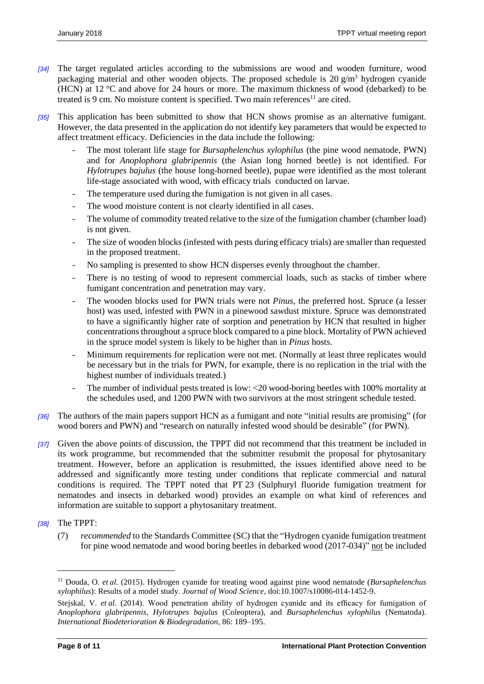- *[34]* The target regulated articles according to the submissions are wood and wooden furniture, wood packaging material and other wooden objects. The proposed schedule is  $20 \text{ g/m}^3$  hydrogen cyanide (HCN) at 12 °C and above for 24 hours or more. The maximum thickness of wood (debarked) to be treated is 9 cm. No moisture content is specified. Two main references<sup>11</sup> are cited.
- *[35]* This application has been submitted to show that HCN shows promise as an alternative fumigant. However, the data presented in the application do not identify key parameters that would be expected to affect treatment efficacy. Deficiencies in the data include the following:
	- The most tolerant life stage for *Bursaphelenchus xylophilus* (the pine wood nematode, PWN) and for *Anoplophora glabripennis* (the Asian long horned beetle) is not identified. For *Hylotrupes bajulus* (the house long-horned beetle), pupae were identified as the most tolerant life-stage associated with wood, with efficacy trials conducted on larvae.
	- The temperature used during the fumigation is not given in all cases.
	- The wood moisture content is not clearly identified in all cases.
	- The volume of commodity treated relative to the size of the fumigation chamber (chamber load) is not given.
	- The size of wooden blocks (infested with pests during efficacy trials) are smaller than requested in the proposed treatment.
	- No sampling is presented to show HCN disperses evenly throughout the chamber.
	- There is no testing of wood to represent commercial loads, such as stacks of timber where fumigant concentration and penetration may vary.
	- The wooden blocks used for PWN trials were not *Pinus*, the preferred host. Spruce (a lesser host) was used, infested with PWN in a pinewood sawdust mixture. Spruce was demonstrated to have a significantly higher rate of sorption and penetration by HCN that resulted in higher concentrations throughout a spruce block compared to a pine block. Mortality of PWN achieved in the spruce model system is likely to be higher than in *Pinus* hosts.
	- Minimum requirements for replication were not met. (Normally at least three replicates would be necessary but in the trials for PWN, for example, there is no replication in the trial with the highest number of individuals treated.)
	- The number of individual pests treated is low: <20 wood-boring beetles with 100% mortality at the schedules used, and 1200 PWN with two survivors at the most stringent schedule tested.
- *[36]* The authors of the main papers support HCN as a fumigant and note "initial results are promising" (for wood borers and PWN) and "research on naturally infested wood should be desirable" (for PWN)*.*
- *[37]* Given the above points of discussion, the TPPT did not recommend that this treatment be included in its work programme, but recommended that the submitter resubmit the proposal for phytosanitary treatment. However, before an application is resubmitted, the issues identified above need to be addressed and significantly more testing under conditions that replicate commercial and natural conditions is required. The TPPT noted that PT 23 (Sulphuryl fluoride fumigation treatment for nematodes and insects in debarked wood) provides an example on what kind of references and information are suitable to support a phytosanitary treatment.
- *[38]* The TPPT:

l

(7) *recommended* to the Standards Committee (SC) that the "Hydrogen cyanide fumigation treatment for pine wood nematode and wood boring beetles in debarked wood (2017-034)" not be included

<sup>11</sup> Douda, O. *et al.* (2015). Hydrogen cyanide for treating wood against pine wood nematode (*Bursaphelenchus xylophilus*): Results of a model study. *Journal of Wood Science*, doi:10.1007/s10086-014-1452-9.

Stejskal, V. *et al.* (2014). Wood penetration ability of hydrogen cyanide and its efficacy for fumigation of *Anoplophora glabripennis*, *Hylotrupes bajulus* (Coleoptera), and *Bursaphelenchus xylophilus* (Nematoda). *International Biodeterioration & Biodegradation*, 86: 189–195.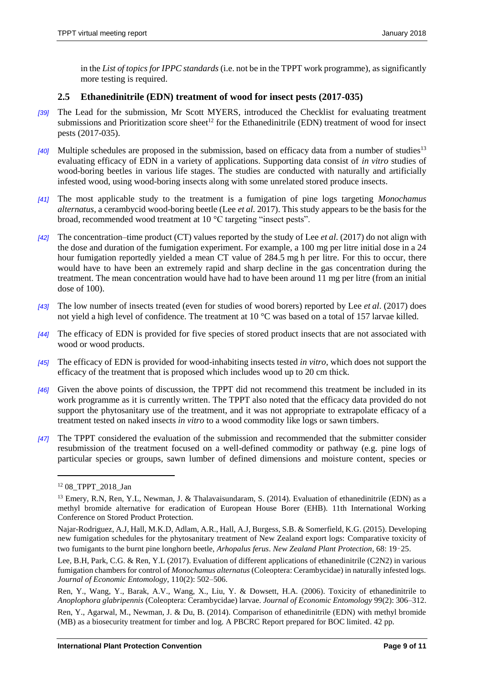in the *List of topics for IPPC standards* (i.e. not be in the TPPT work programme), as significantly more testing is required.

#### <span id="page-8-0"></span>**2.5 Ethanedinitrile (EDN) treatment of wood for insect pests (2017-035)**

- *[39]* The Lead for the submission, Mr Scott MYERS, introduced the Checklist for evaluating treatment submissions and Prioritization score sheet<sup>12</sup> for the Ethanedinitrile (EDN) treatment of wood for insect pests (2017-035).
- *[40]* Multiple schedules are proposed in the submission, based on efficacy data from a number of studies<sup>13</sup> evaluating efficacy of EDN in a variety of applications. Supporting data consist of *in vitro* studies of wood-boring beetles in various life stages. The studies are conducted with naturally and artificially infested wood, using wood-boring insects along with some unrelated stored produce insects.
- *[41]* The most applicable study to the treatment is a fumigation of pine logs targeting *Monochamus alternatus*, a cerambycid wood-boring beetle (Lee *et al*. 2017). This study appears to be the basis for the broad, recommended wood treatment at 10 °C targeting "insect pests".
- *[42]* The concentration–time product (CT) values reported by the study of Lee *et al*. (2017) do not align with the dose and duration of the fumigation experiment. For example, a 100 mg per litre initial dose in a 24 hour fumigation reportedly yielded a mean CT value of 284.5 mg h per litre. For this to occur, there would have to have been an extremely rapid and sharp decline in the gas concentration during the treatment. The mean concentration would have had to have been around 11 mg per litre (from an initial dose of 100).
- *[43]* The low number of insects treated (even for studies of wood borers) reported by Lee *et al*. (2017) does not yield a high level of confidence. The treatment at 10 °C was based on a total of 157 larvae killed.
- *[44]* The efficacy of EDN is provided for five species of stored product insects that are not associated with wood or wood products.
- *[45]* The efficacy of EDN is provided for wood-inhabiting insects tested *in vitro*, which does not support the efficacy of the treatment that is proposed which includes wood up to 20 cm thick.
- *[46]* Given the above points of discussion, the TPPT did not recommend this treatment be included in its work programme as it is currently written. The TPPT also noted that the efficacy data provided do not support the phytosanitary use of the treatment, and it was not appropriate to extrapolate efficacy of a treatment tested on naked insects *in vitro* to a wood commodity like logs or sawn timbers.
- *[47]* The TPPT considered the evaluation of the submission and recommended that the submitter consider resubmission of the treatment focused on a well-defined commodity or pathway (e.g. pine logs of particular species or groups, sawn lumber of defined dimensions and moisture content, species or

 $\overline{a}$ 

<sup>&</sup>lt;sup>12</sup> 08 TPPT 2018 Jan

<sup>&</sup>lt;sup>13</sup> Emery, R.N, Ren, Y.L, Newman, J. & Thalavaisundaram, S. (2014). Evaluation of ethanedinitrile (EDN) as a methyl bromide alternative for eradication of European House Borer (EHB). 11th International Working Conference on Stored Product Protection.

Najar-Rodriguez, A.J, Hall, M.K.D, Adlam, A.R., Hall, A.J, Burgess, S.B. & Somerfield, K.G. (2015). Developing new fumigation schedules for the phytosanitary treatment of New Zealand export logs: Comparative toxicity of two fumigants to the burnt pine longhorn beetle, *Arhopalus ferus*. *New Zealand Plant Protection*, 68: 19–25.

Lee, B.H, Park, C.G. & Ren, Y.L (2017). Evaluation of different applications of ethanedinitrile (C2N2) in various fumigation chambers for control of *Monochamus alternatus* (Coleoptera: Cerambycidae) in naturally infested logs. *Journal of Economic Entomology*, 110(2): 502–506.

Ren, Y., Wang, Y., Barak, A.V., Wang, X., Liu, Y. & Dowsett, H.A. (2006). Toxicity of ethanedinitrile to *Anoplophora glabripennis* (Coleoptera: Cerambycidae) larvae. *Journal of Economic Entomology* 99(2): 306–312.

Ren, Y., Agarwal, M., Newman, J. & Du, B. (2014). Comparison of ethanedinitrile (EDN) with methyl bromide (MB) as a biosecurity treatment for timber and log. A PBCRC Report prepared for BOC limited. 42 pp.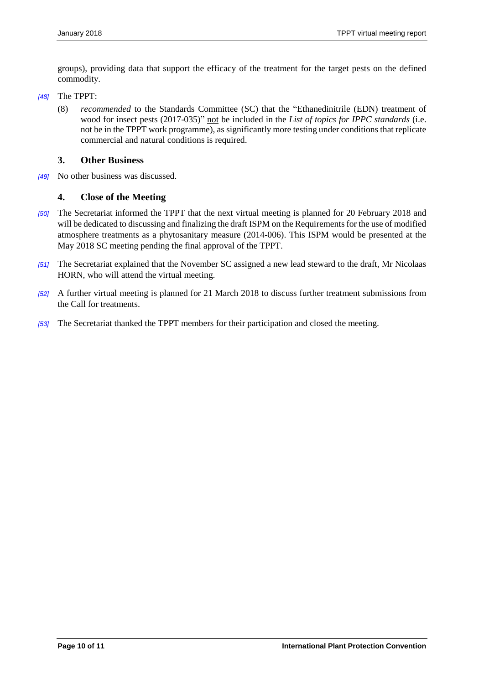groups), providing data that support the efficacy of the treatment for the target pests on the defined commodity.

- *[48]* The TPPT:
	- (8) *recommended* to the Standards Committee (SC) that the "Ethanedinitrile (EDN) treatment of wood for insect pests (2017-035)" not be included in the *List of topics for IPPC standards* (i.e. not be in the TPPT work programme), as significantly more testing under conditions that replicate commercial and natural conditions is required.

#### <span id="page-9-0"></span>**3. Other Business**

*[49]* No other business was discussed.

#### <span id="page-9-1"></span>**4. Close of the Meeting**

- *[50]* The Secretariat informed the TPPT that the next virtual meeting is planned for 20 February 2018 and will be dedicated to discussing and finalizing the draft ISPM on the Requirements for the use of modified atmosphere treatments as a phytosanitary measure (2014-006). This ISPM would be presented at the May 2018 SC meeting pending the final approval of the TPPT.
- *[51]* The Secretariat explained that the November SC assigned a new lead steward to the draft, Mr Nicolaas HORN, who will attend the virtual meeting.
- *[52]* A further virtual meeting is planned for 21 March 2018 to discuss further treatment submissions from the Call for treatments.
- *[53]* The Secretariat thanked the TPPT members for their participation and closed the meeting.